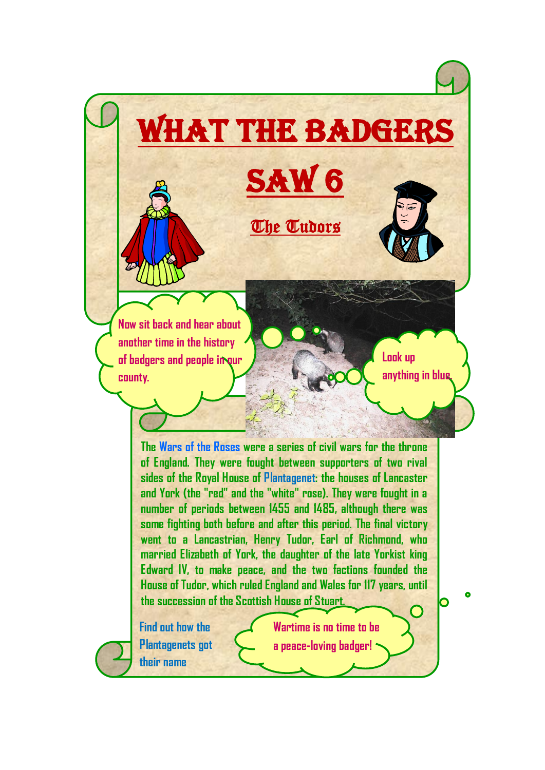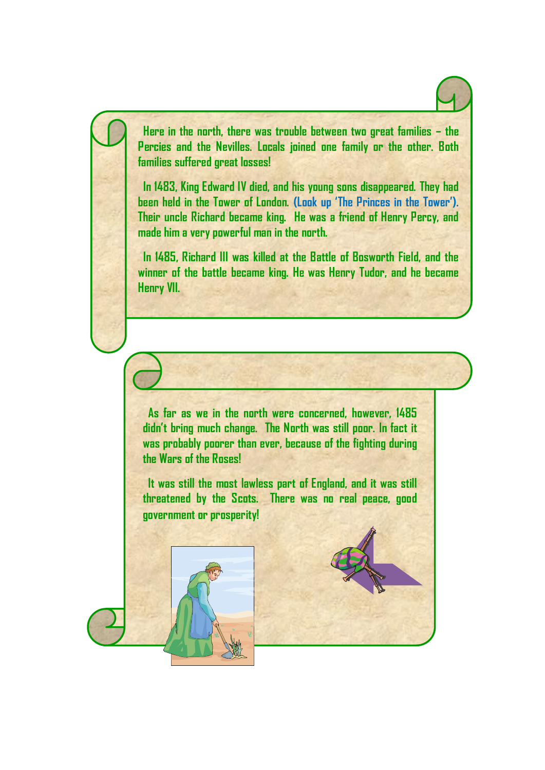**Here in the north, there was trouble between two great families – the Percies and the Nevilles. Locals joined one family or the other. Both families suffered great losses!** 

 **In 1483, King Edward IV died, and his young sons disappeared. They had been held in the Tower of London. (Look up 'The Princes in the Tower'). Their uncle Richard became king. He was a friend of Henry Percy, and made him a very powerful man in the north.**

 **In 1485, Richard III was killed at the Battle of Bosworth Field, and the winner of the battle became king. He was Henry Tudor, and he became Henry VII.**

 **As far as we in the north were concerned, however, 1485 didn't bring much change. The North was still poor. In fact it was probably poorer than ever, because of the fighting during the Wars of the Roses!** 

 **It was still the most lawless part of England, and it was still threatened by the Scots. There was no real peace, good government or prosperity!**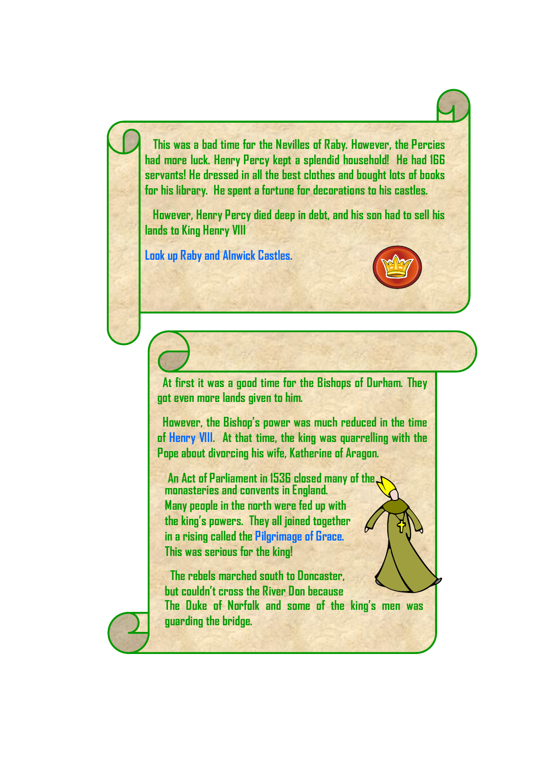**This was a bad time for the Nevilles of Raby. However, the Percies had more luck. Henry Percy kept a splendid household! He had 166 servants! He dressed in all the best clothes and bought lots of books for his library. He spent a fortune for decorations to his castles.**

 **However, Henry Percy died deep in debt, and his son had to sell his lands to King Henry VIII**

**Look up Raby and Alnwick Castles.**



 **At first it was a good time for the Bishops of Durham. They got even more lands given to him.** 

 **However, the Bishop's power was much reduced in the time of Henry VIII. At that time, the king was quarrelling with the Pope about divorcing his wife, Katherine of Aragon.**

 **An Act of Parliament in 1536 closed many of the monasteries and convents in England. Many people in the north were fed up with the king's powers. They all joined together in a rising called the Pilgrimage of Grace. This was serious for the king!** 

 **The rebels marched south to Doncaster, but couldn't cross the River Don because The Duke of Norfolk and some of the king's men was guarding the bridge.** 

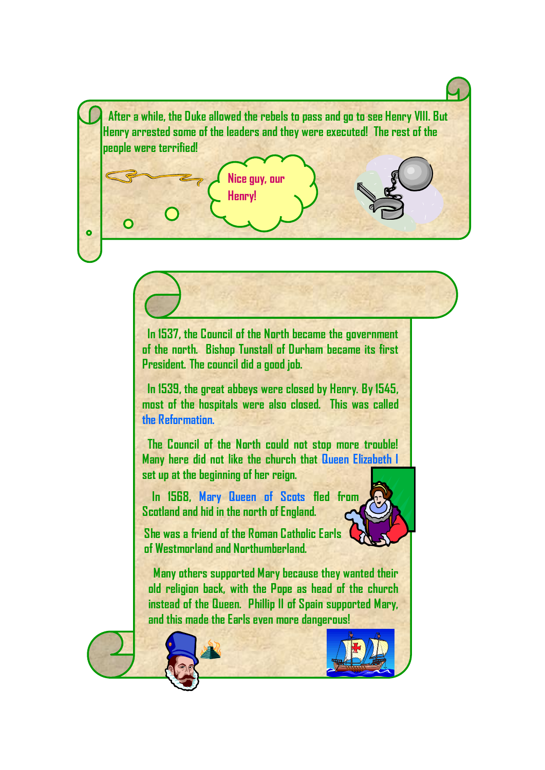**After a while, the Duke allowed the rebels to pass and go to see Henry VIII. But Henry arrested some of the leaders and they were executed! The rest of the people were terrified!**

**Nice guy, our** 

**Henry!**

 $\bullet$ 

 **In 1537, the Council of the North became the government of the north. Bishop Tunstall of Durham became its first President. The council did a good job.** 

 **In 1539, the great abbeys were closed by Henry. By 1545, most of the hospitals were also closed. This was called the Reformation.** 

 **The Council of the North could not stop more trouble! Many here did not like the church that Queen Elizabeth I set up at the beginning of her reign.** 

 **In 1568, Mary Queen of Scots fled from Scotland and hid in the north of England.**



**She was a friend of the Roman Catholic Earls of Westmorland and Northumberland.**

 **Many others supported Mary because they wanted their old religion back, with the Pope as head of the church instead of the Queen. Phillip II of Spain supported Mary, and this made the Earls even more dangerous!**